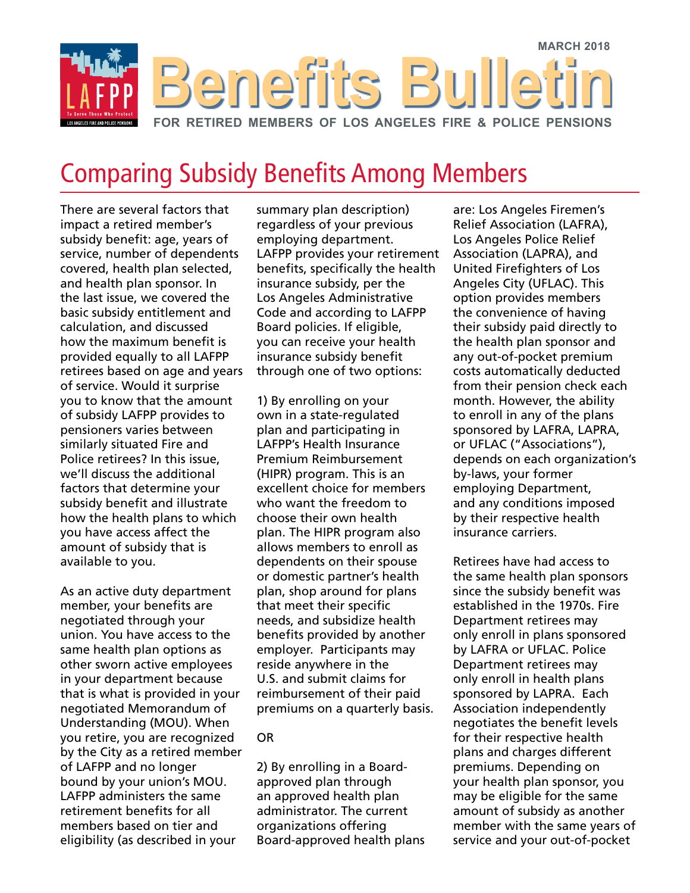

## Comparing Subsidy Benefits Among Members

There are several factors that impact a retired member's subsidy benefit: age, years of service, number of dependents covered, health plan selected, and health plan sponsor. In the last issue, we covered the basic subsidy entitlement and calculation, and discussed how the maximum benefit is provided equally to all LAFPP retirees based on age and years of service. Would it surprise you to know that the amount of subsidy LAFPP provides to pensioners varies between similarly situated Fire and Police retirees? In this issue, we'll discuss the additional factors that determine your subsidy benefit and illustrate how the health plans to which you have access affect the amount of subsidy that is available to you.

As an active duty department member, your benefits are negotiated through your union. You have access to the same health plan options as other sworn active employees in your department because that is what is provided in your negotiated Memorandum of Understanding (MOU). When you retire, you are recognized by the City as a retired member of LAFPP and no longer bound by your union's MOU. LAFPP administers the same retirement benefits for all members based on tier and eligibility (as described in your

summary plan description) regardless of your previous employing department. LAFPP provides your retirement benefits, specifically the health insurance subsidy, per the Los Angeles Administrative Code and according to LAFPP Board policies. If eligible, you can receive your health insurance subsidy benefit through one of two options:

1) By enrolling on your own in a state-regulated plan and participating in LAFPP's Health Insurance Premium Reimbursement (HIPR) program. This is an excellent choice for members who want the freedom to choose their own health plan. The HIPR program also allows members to enroll as dependents on their spouse or domestic partner's health plan, shop around for plans that meet their specific needs, and subsidize health benefits provided by another employer. Participants may reside anywhere in the U.S. and submit claims for reimbursement of their paid premiums on a quarterly basis.

### OR

2) By enrolling in a Boardapproved plan through an approved health plan administrator. The current organizations offering Board-approved health plans are: Los Angeles Firemen's Relief Association (LAFRA), Los Angeles Police Relief Association (LAPRA), and United Firefighters of Los Angeles City (UFLAC). This option provides members the convenience of having their subsidy paid directly to the health plan sponsor and any out-of-pocket premium costs automatically deducted from their pension check each month. However, the ability to enroll in any of the plans sponsored by LAFRA, LAPRA, or UFLAC ("Associations"), depends on each organization's by-laws, your former employing Department, and any conditions imposed by their respective health insurance carriers.

Retirees have had access to the same health plan sponsors since the subsidy benefit was established in the 1970s. Fire Department retirees may only enroll in plans sponsored by LAFRA or UFLAC. Police Department retirees may only enroll in health plans sponsored by LAPRA. Each Association independently negotiates the benefit levels for their respective health plans and charges different premiums. Depending on your health plan sponsor, you may be eligible for the same amount of subsidy as another member with the same years of service and your out-of-pocket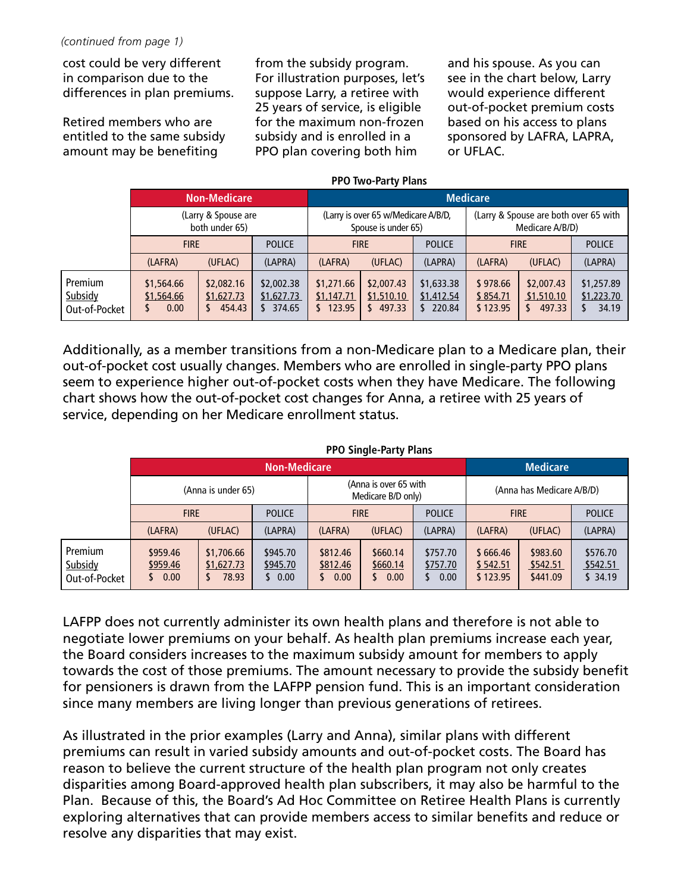cost could be very different in comparison due to the differences in plan premiums.

Retired members who are entitled to the same subsidy amount may be benefiting

from the subsidy program. For illustration purposes, let's suppose Larry, a retiree with 25 years of service, is eligible for the maximum non-frozen subsidy and is enrolled in a PPO plan covering both him

and his spouse. As you can see in the chart below, Larry would experience different out-of-pocket premium costs based on his access to plans sponsored by LAFRA, LAPRA, or UFLAC.

#### **PPO Two-Party Plans**

|                                     | <b>Non-Medicare</b>                   |                                    |                                    | <b>Medicare</b>                                            |                                    |                                    |                                                          |                                    |                                   |
|-------------------------------------|---------------------------------------|------------------------------------|------------------------------------|------------------------------------------------------------|------------------------------------|------------------------------------|----------------------------------------------------------|------------------------------------|-----------------------------------|
|                                     | (Larry & Spouse are<br>both under 65) |                                    |                                    | (Larry is over 65 w/Medicare A/B/D,<br>Spouse is under 65) |                                    |                                    | (Larry & Spouse are both over 65 with<br>Medicare A/B/D) |                                    |                                   |
|                                     | <b>FIRE</b>                           |                                    | <b>POLICE</b>                      | <b>FIRE</b>                                                |                                    | <b>POLICE</b>                      | <b>FIRE</b>                                              |                                    | <b>POLICE</b>                     |
|                                     | (LAFRA)                               | (UFLAC)                            | (LAPRA)                            | (LAFRA)                                                    | (UFLAC)                            | (LAPRA)                            | (LAFRA)                                                  | (UFLAC)                            | (LAPRA)                           |
| Premium<br>Subsidy<br>Out-of-Pocket | \$1,564.66<br>\$1,564.66<br>0.00      | \$2,082.16<br>\$1,627.73<br>454.43 | \$2,002.38<br>\$1,627.73<br>374.65 | \$1,271.66<br>\$1,147.71<br>\$123.95                       | \$2,007.43<br>\$1,510.10<br>497.33 | \$1,633.38<br>\$1,412.54<br>220.84 | \$978.66<br>\$854.71<br>\$123.95                         | \$2,007.43<br>\$1,510.10<br>497.33 | \$1,257.89<br>\$1,223.70<br>34.19 |

Additionally, as a member transitions from a non-Medicare plan to a Medicare plan, their out-of-pocket cost usually changes. Members who are enrolled in single-party PPO plans seem to experience higher out-of-pocket costs when they have Medicare. The following chart shows how the out-of-pocket cost changes for Anna, a retiree with 25 years of service, depending on her Medicare enrollment status.

|                                            | <b>PPO Single-Party Plans</b> |                                   |                              |                                             |                                   |                                   |                                  |                                  |                                 |
|--------------------------------------------|-------------------------------|-----------------------------------|------------------------------|---------------------------------------------|-----------------------------------|-----------------------------------|----------------------------------|----------------------------------|---------------------------------|
|                                            | <b>Non-Medicare</b>           |                                   |                              |                                             |                                   |                                   | <b>Medicare</b>                  |                                  |                                 |
|                                            | (Anna is under 65)            |                                   |                              | (Anna is over 65 with<br>Medicare B/D only) |                                   |                                   | (Anna has Medicare A/B/D)        |                                  |                                 |
|                                            | <b>FIRE</b>                   |                                   | <b>POLICE</b>                | <b>FIRE</b>                                 |                                   | <b>POLICE</b>                     | <b>FIRE</b>                      |                                  | <b>POLICE</b>                   |
|                                            | (LAFRA)                       | (UFLAC)                           | (LAPRA)                      | (LAFRA)                                     | (UFLAC)                           | (LAPRA)                           | (LAFRA)                          | (UFLAC)                          | (LAPRA)                         |
| <b>Premium</b><br>Subsidy<br>Out-of-Pocket | \$959.46<br>\$959.46<br>0.00  | \$1,706.66<br>\$1,627.73<br>78.93 | \$945.70<br>\$945.70<br>0.00 | \$812.46<br>\$812.46<br>0.00<br>5           | \$660.14<br>\$660.14<br>0.00<br>S | \$757.70<br>\$757.70<br>0.00<br>S | \$666.46<br>\$542.51<br>\$123.95 | \$983.60<br>\$542.51<br>\$441.09 | \$576.70<br>\$542.51<br>\$34.19 |

LAFPP does not currently administer its own health plans and therefore is not able to negotiate lower premiums on your behalf. As health plan premiums increase each year, the Board considers increases to the maximum subsidy amount for members to apply towards the cost of those premiums. The amount necessary to provide the subsidy benefit for pensioners is drawn from the LAFPP pension fund. This is an important consideration since many members are living longer than previous generations of retirees.

As illustrated in the prior examples (Larry and Anna), similar plans with different premiums can result in varied subsidy amounts and out-of-pocket costs. The Board has reason to believe the current structure of the health plan program not only creates disparities among Board-approved health plan subscribers, it may also be harmful to the Plan. Because of this, the Board's Ad Hoc Committee on Retiree Health Plans is currently exploring alternatives that can provide members access to similar benefits and reduce or resolve any disparities that may exist.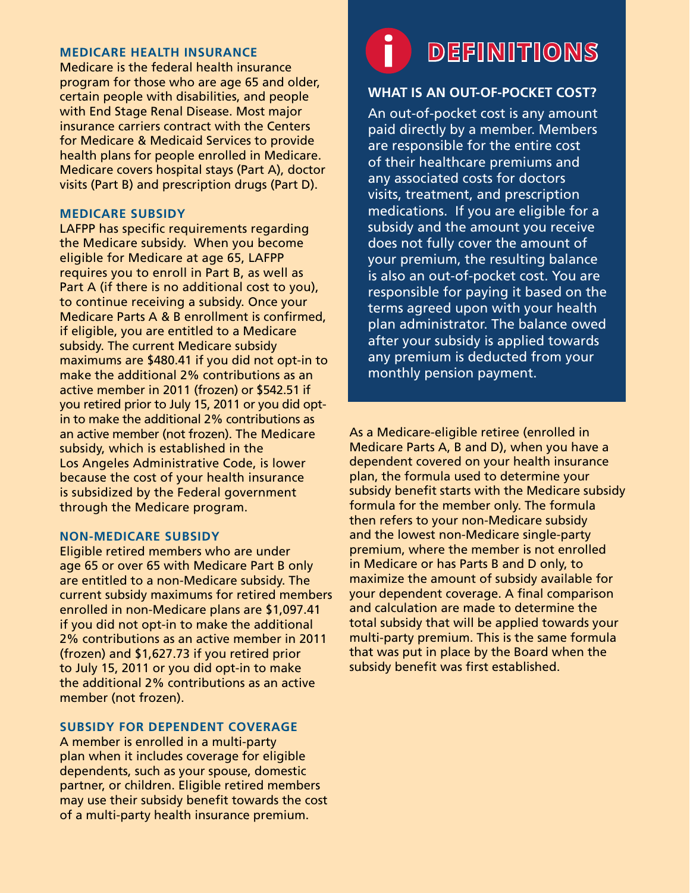### **MEDICARE HEALTH INSURANCE**

Medicare is the federal health insurance program for those who are age 65 and older, certain people with disabilities, and people with End Stage Renal Disease. Most major insurance carriers contract with the Centers for Medicare & Medicaid Services to provide health plans for people enrolled in Medicare. Medicare covers hospital stays (Part A), doctor visits (Part B) and prescription drugs (Part D).

### **MEDICARE SUBSIDY**

LAFPP has specific requirements regarding the Medicare subsidy. When you become eligible for Medicare at age 65, LAFPP requires you to enroll in Part B, as well as Part A (if there is no additional cost to you), to continue receiving a subsidy. Once your Medicare Parts A & B enrollment is confirmed, if eligible, you are entitled to a Medicare subsidy. The current Medicare subsidy maximums are \$480.41 if you did not opt-in to make the additional 2% contributions as an active member in 2011 (frozen) or \$542.51 if you retired prior to July 15, 2011 or you did optin to make the additional 2% contributions as an active member (not frozen). The Medicare subsidy, which is established in the Los Angeles Administrative Code, is lower because the cost of your health insurance is subsidized by the Federal government through the Medicare program.

### **NON-MEDICARE SUBSIDY**

Eligible retired members who are under age 65 or over 65 with Medicare Part B only are entitled to a non-Medicare subsidy. The current subsidy maximums for retired members enrolled in non-Medicare plans are \$1,097.41 if you did not opt-in to make the additional 2% contributions as an active member in 2011 (frozen) and \$1,627.73 if you retired prior to July 15, 2011 or you did opt-in to make the additional 2% contributions as an active member (not frozen).

### **SUBSIDY FOR DEPENDENT COVERAGE**

A member is enrolled in a multi-party plan when it includes coverage for eligible dependents, such as your spouse, domestic partner, or children. Eligible retired members may use their subsidy benefit towards the cost of a multi-party health insurance premium.

# **DEFINITIONS**

### **WHAT IS AN OUT-OF-POCKET COST?**

An out-of-pocket cost is any amount paid directly by a member. Members are responsible for the entire cost of their healthcare premiums and any associated costs for doctors visits, treatment, and prescription medications. If you are eligible for a subsidy and the amount you receive does not fully cover the amount of your premium, the resulting balance is also an out-of-pocket cost. You are responsible for paying it based on the terms agreed upon with your health plan administrator. The balance owed after your subsidy is applied towards any premium is deducted from your monthly pension payment.

As a Medicare-eligible retiree (enrolled in Medicare Parts A, B and D), when you have a dependent covered on your health insurance plan, the formula used to determine your subsidy benefit starts with the Medicare subsidy formula for the member only. The formula then refers to your non-Medicare subsidy and the lowest non-Medicare single-party premium, where the member is not enrolled in Medicare or has Parts B and D only, to maximize the amount of subsidy available for your dependent coverage. A final comparison and calculation are made to determine the total subsidy that will be applied towards your multi-party premium. This is the same formula that was put in place by the Board when the subsidy benefit was first established.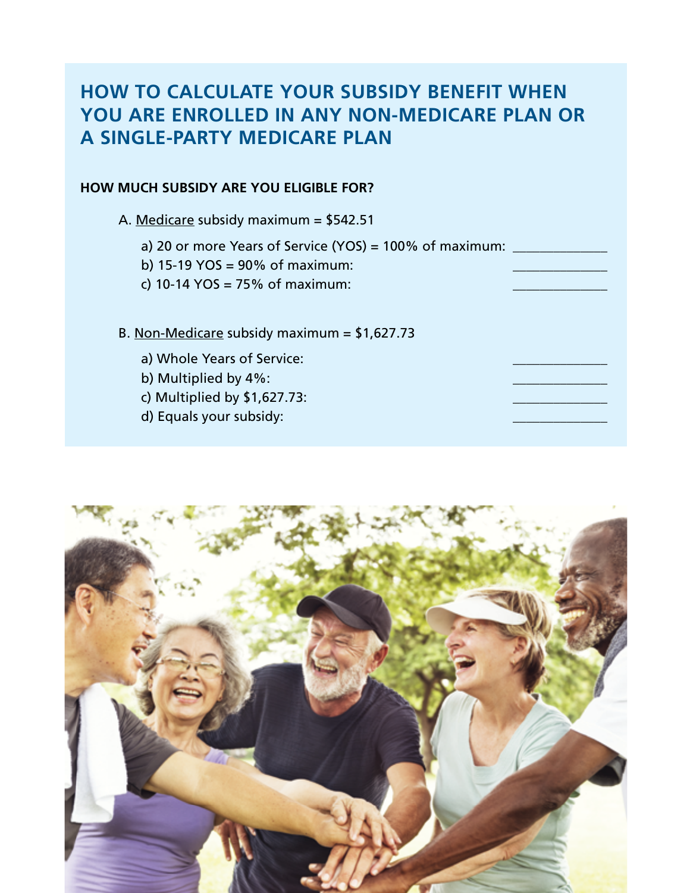### **HOW TO CALCULATE YOUR SUBSIDY BENEFIT WHEN YOU ARE ENROLLED IN ANY NON-MEDICARE PLAN OR A SINGLE-PARTY MEDICARE PLAN**

### **HOW MUCH SUBSIDY ARE YOU ELIGIBLE FOR?**

A. Medicare subsidy maximum = \$542.51

a) 20 or more Years of Service (YOS) = 100% of maximum: \_\_\_\_\_\_\_\_\_\_\_\_\_\_

b) 15-19 YOS =  $90\%$  of maximum:

c) 10-14 YOS =  $75%$  of maximum:

B. Non-Medicare subsidy maximum = \$1,627.73

- a) Whole Years of Service:
- b) Multiplied by 4%:
- c) Multiplied by  $$1,627.73$ :

d) Equals your subsidy:

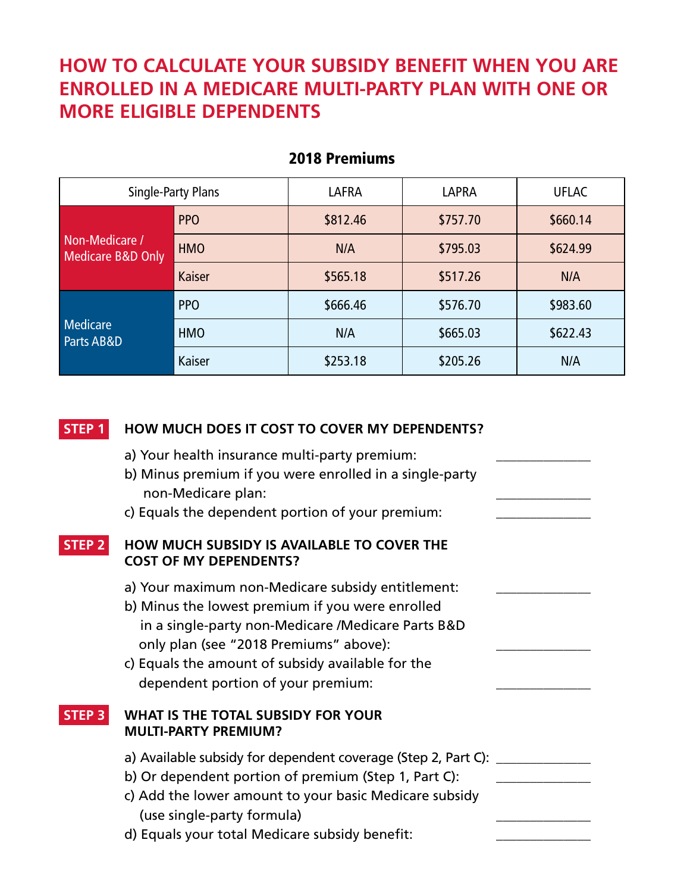## **HOW TO CALCULATE YOUR SUBSIDY BENEFIT WHEN YOU ARE ENROLLED IN A MEDICARE MULTI-PARTY PLAN WITH ONE OR MORE ELIGIBLE DEPENDENTS**

| Single-Party Plans                  |            | <b>LAFRA</b> | <b>LAPRA</b> | <b>UFLAC</b> |  |
|-------------------------------------|------------|--------------|--------------|--------------|--|
| Non-Medicare /<br>Medicare B&D Only | <b>PPO</b> | \$812.46     | \$757.70     | \$660.14     |  |
|                                     | <b>HMO</b> | N/A          | \$795.03     | \$624.99     |  |
|                                     | Kaiser     | \$565.18     | \$517.26     | N/A          |  |
|                                     | <b>PPO</b> | \$666.46     | \$576.70     | \$983.60     |  |
| <b>Medicare</b><br>Parts AB&D       | <b>HMO</b> | N/A          | \$665.03     | \$622.43     |  |
|                                     | Kaiser     | \$253.18     | \$205.26     | N/A          |  |

### 2018 Premiums

| <b>STEP 1</b>     | HOW MUCH DOES IT COST TO COVER MY DEPENDENTS?                                                                                                                                                                                                                                                    |  |
|-------------------|--------------------------------------------------------------------------------------------------------------------------------------------------------------------------------------------------------------------------------------------------------------------------------------------------|--|
|                   | a) Your health insurance multi-party premium:<br>b) Minus premium if you were enrolled in a single-party<br>non-Medicare plan:<br>c) Equals the dependent portion of your premium:                                                                                                               |  |
| STEP <sub>2</sub> | HOW MUCH SUBSIDY IS AVAILABLE TO COVER THE<br><b>COST OF MY DEPENDENTS?</b>                                                                                                                                                                                                                      |  |
|                   | a) Your maximum non-Medicare subsidy entitlement:<br>b) Minus the lowest premium if you were enrolled<br>in a single-party non-Medicare /Medicare Parts B&D<br>only plan (see "2018 Premiums" above):<br>c) Equals the amount of subsidy available for the<br>dependent portion of your premium: |  |
| <b>STEP 3</b>     | WHAT IS THE TOTAL SUBSIDY FOR YOUR<br><b>MULTI-PARTY PREMIUM?</b>                                                                                                                                                                                                                                |  |
|                   | a) Available subsidy for dependent coverage (Step 2, Part C): _________<br>b) Or dependent portion of premium (Step 1, Part C):<br>c) Add the lower amount to your basic Medicare subsidy<br>(use single-party formula)<br>d) Equals your total Medicare subsidy benefit:                        |  |